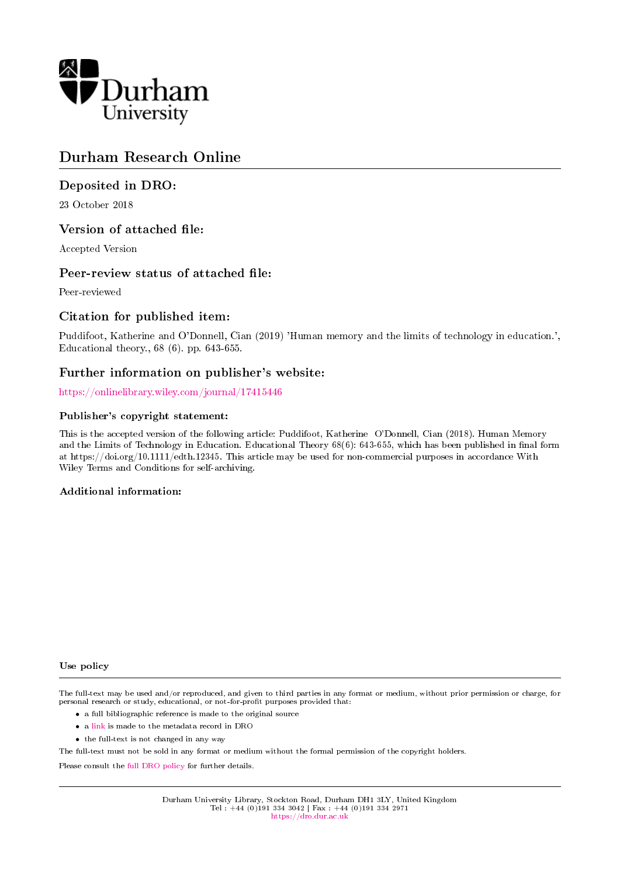

# Durham Research Online

# Deposited in DRO:

23 October 2018

# Version of attached file:

Accepted Version

# Peer-review status of attached file:

Peer-reviewed

# Citation for published item:

Puddifoot, Katherine and O'Donnell, Cian (2019) 'Human memory and the limits of technology in education.', Educational theory., 68 (6). pp. 643-655.

# Further information on publisher's website:

<https://onlinelibrary.wiley.com/journal/17415446>

### Publisher's copyright statement:

This is the accepted version of the following article: Puddifoot, Katherine O'Donnell, Cian (2018). Human Memory and the Limits of Technology in Education. Educational Theory 68(6): 643-655, which has been published in final form at https://doi.org/10.1111/edth.12345. This article may be used for non-commercial purposes in accordance With Wiley Terms and Conditions for self-archiving.

### Additional information:

#### Use policy

The full-text may be used and/or reproduced, and given to third parties in any format or medium, without prior permission or charge, for personal research or study, educational, or not-for-profit purposes provided that:

- a full bibliographic reference is made to the original source
- a [link](http://dro.dur.ac.uk/26587/) is made to the metadata record in DRO
- the full-text is not changed in any way

The full-text must not be sold in any format or medium without the formal permission of the copyright holders.

Please consult the [full DRO policy](https://dro.dur.ac.uk/policies/usepolicy.pdf) for further details.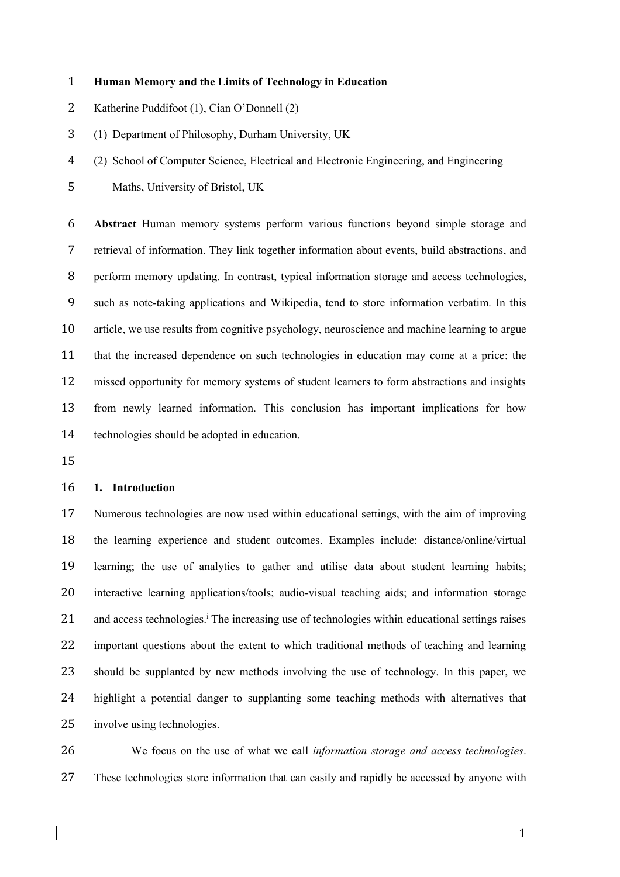### **Human Memory and the Limits of Technology in Education**

- Katherine Puddifoot (1), Cian O'Donnell (2)
- (1) Department of Philosophy, Durham University, UK

(2) School of Computer Science, Electrical and Electronic Engineering, and Engineering

Maths, University of Bristol, UK

 **Abstract** Human memory systems perform various functions beyond simple storage and retrieval of information. They link together information about events, build abstractions, and perform memory updating. In contrast, typical information storage and access technologies, such as note-taking applications and Wikipedia, tend to store information verbatim. In this article, we use results from cognitive psychology, neuroscience and machine learning to argue that the increased dependence on such technologies in education may come at a price: the missed opportunity for memory systems of student learners to form abstractions and insights from newly learned information. This conclusion has important implications for how technologies should be adopted in education.

### **1. Introduction**

 Numerous technologies are now used within educational settings, with the aim of improving the learning experience and student outcomes. Examples include: distance/online/virtual learning; the use of analytics to gather and utilise data about student learning habits; interactive learning applications/tools; audio-visual teaching aids; and information storage 21 and access technologies.<sup>1</sup> The increasing use of technologies within educational settings raises important questions about the extent to which traditional methods of teaching and learning should be supplanted by new methods involving the use of technology. In this paper, we highlight a potential danger to supplanting some teaching methods with alternatives that involve using technologies.

 We focus on the use of what we call *information storage and access technologies*. These technologies store information that can easily and rapidly be accessed by anyone with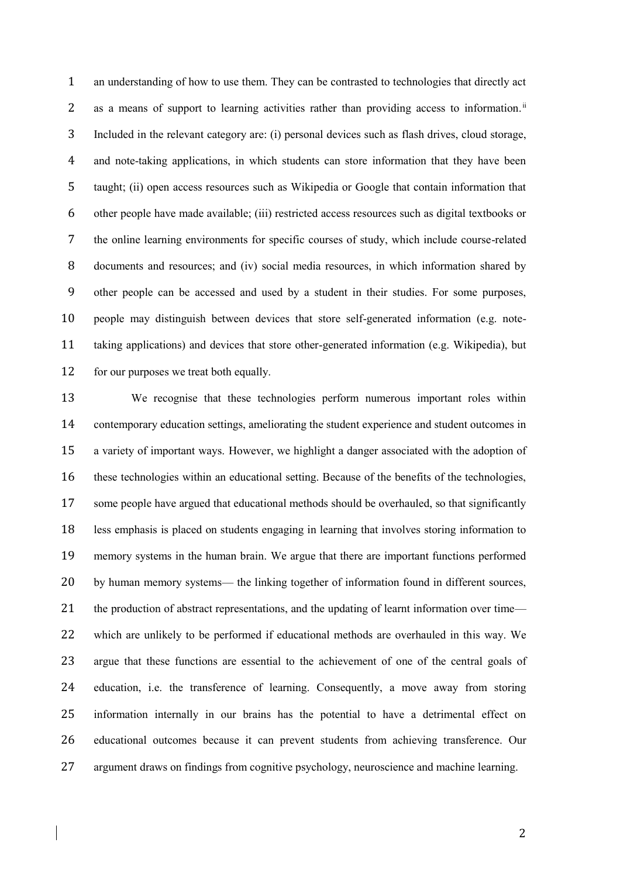an understanding of how to use them. They can be contrasted to technologies that directly act 2 as a means of support to learning activities rather than providing access to information.<sup>ii</sup> Included in the relevant category are: (i) personal devices such as flash drives, cloud storage, and note-taking applications, in which students can store information that they have been taught; (ii) open access resources such as Wikipedia or Google that contain information that other people have made available; (iii) restricted access resources such as digital textbooks or the online learning environments for specific courses of study, which include course-related documents and resources; and (iv) social media resources, in which information shared by other people can be accessed and used by a student in their studies. For some purposes, people may distinguish between devices that store self-generated information (e.g. note- taking applications) and devices that store other-generated information (e.g. Wikipedia), but 12 for our purposes we treat both equally.

 We recognise that these technologies perform numerous important roles within contemporary education settings, ameliorating the student experience and student outcomes in a variety of important ways. However, we highlight a danger associated with the adoption of these technologies within an educational setting. Because of the benefits of the technologies, some people have argued that educational methods should be overhauled, so that significantly less emphasis is placed on students engaging in learning that involves storing information to memory systems in the human brain. We argue that there are important functions performed by human memory systems— the linking together of information found in different sources, 21 the production of abstract representations, and the updating of learnt information over time— which are unlikely to be performed if educational methods are overhauled in this way. We argue that these functions are essential to the achievement of one of the central goals of education, i.e. the transference of learning. Consequently, a move away from storing information internally in our brains has the potential to have a detrimental effect on educational outcomes because it can prevent students from achieving transference. Our argument draws on findings from cognitive psychology, neuroscience and machine learning.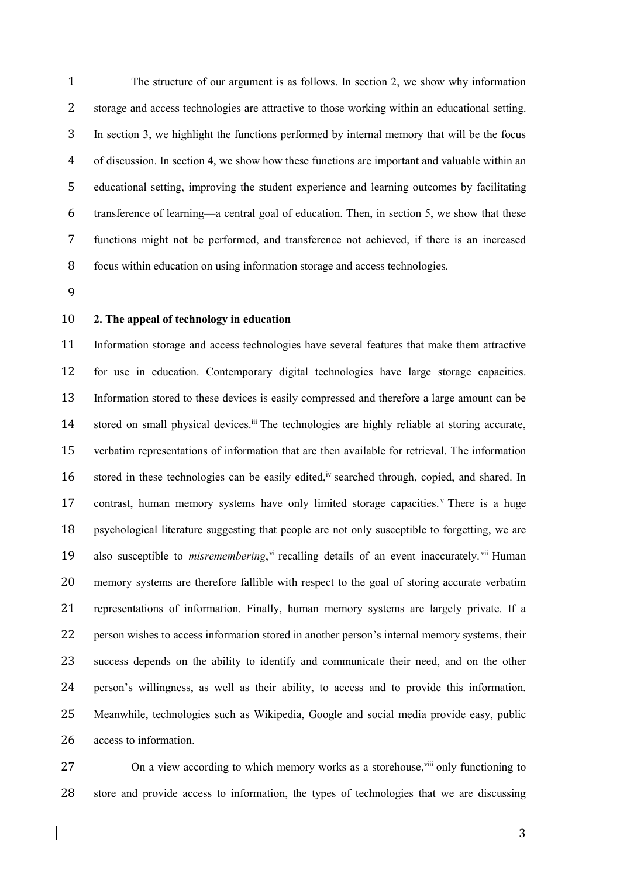The structure of our argument is as follows. In section 2, we show why information storage and access technologies are attractive to those working within an educational setting. In section 3, we highlight the functions performed by internal memory that will be the focus of discussion. In section 4, we show how these functions are important and valuable within an educational setting, improving the student experience and learning outcomes by facilitating transference of learning—a central goal of education. Then, in section 5, we show that these functions might not be performed, and transference not achieved, if there is an increased focus within education on using information storage and access technologies.

- 
- 

### **2. The appeal of technology in education**

 Information storage and access technologies have several features that make them attractive for use in education. Contemporary digital technologies have large storage capacities. Information stored to these devices is easily compressed and therefore a large amount can be 14 stored on small physical devices.<sup>iii</sup> The technologies are highly reliable at storing accurate, verbatim representations of information that are then available for retrieval. The information 16 stored in these technologies can be easily edited,<sup>iv</sup> searched through, copied, and shared. In 17 contrast, human memory systems have only limited storage capacities. There is a huge psychological literature suggesting that people are not only susceptible to forgetting, we are 19 also susceptible to *misremembering*, vi recalling details of an event inaccurately. Vii Human memory systems are therefore fallible with respect to the goal of storing accurate verbatim representations of information. Finally, human memory systems are largely private. If a person wishes to access information stored in another person's internal memory systems, their success depends on the ability to identify and communicate their need, and on the other person's willingness, as well as their ability, to access and to provide this information. Meanwhile, technologies such as Wikipedia, Google and social media provide easy, public access to information.

27 On a view according to which memory works as a storehouse, vili only functioning to store and provide access to information, the types of technologies that we are discussing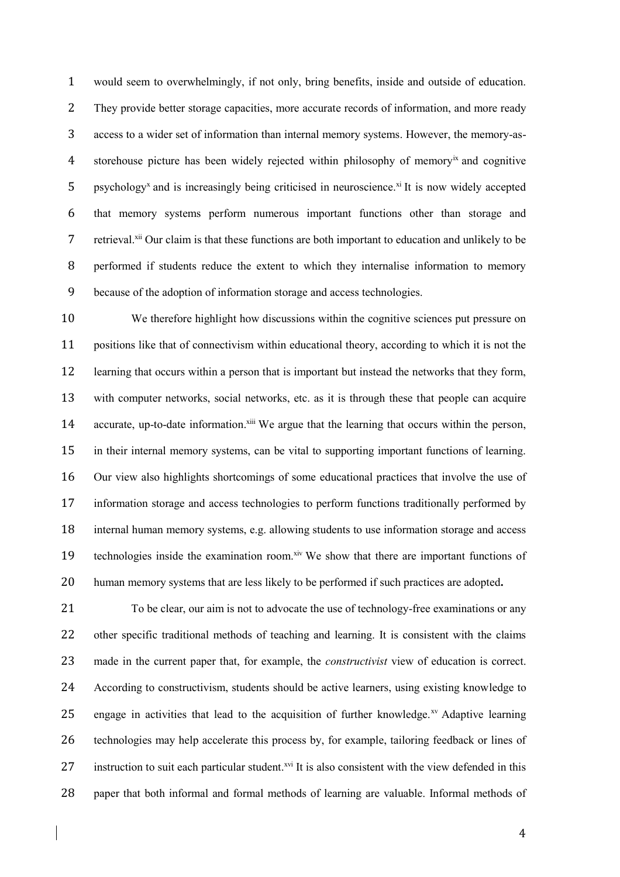would seem to overwhelmingly, if not only, bring benefits, inside and outside of education. They provide better storage capacities, more accurate records of information, and more ready access to a wider set of information than internal memory systems. However, the memory-as-4 storehouse picture has been widely rejected within philosophy of memory<sup>ix</sup> and cognitive 5 psychology<sup>x</sup> and is increasingly being criticised in neuroscience.<sup>xi</sup> It is now widely accepted that memory systems perform numerous important functions other than storage and 7 retrieval.<sup>xii</sup> Our claim is that these functions are both important to education and unlikely to be performed if students reduce the extent to which they internalise information to memory because of the adoption of information storage and access technologies.

 We therefore highlight how discussions within the cognitive sciences put pressure on positions like that of connectivism within educational theory, according to which it is not the learning that occurs within a person that is important but instead the networks that they form, with computer networks, social networks, etc. as it is through these that people can acquire 14 accurate, up-to-date information.<sup>xiii</sup> We argue that the learning that occurs within the person, in their internal memory systems, can be vital to supporting important functions of learning. Our view also highlights shortcomings of some educational practices that involve the use of information storage and access technologies to perform functions traditionally performed by internal human memory systems, e.g. allowing students to use information storage and access 19 technologies inside the examination room. Xiv We show that there are important functions of human memory systems that are less likely to be performed if such practices are adopted**.**

 To be clear, our aim is not to advocate the use of technology-free examinations or any other specific traditional methods of teaching and learning. It is consistent with the claims made in the current paper that, for example, the *constructivist* view of education is correct. According to constructivism, students should be active learners, using existing knowledge to 25 engage in activities that lead to the acquisition of further knowledge.<sup> $xy$ </sup> Adaptive learning technologies may help accelerate this process by, for example, tailoring feedback or lines of 27 instruction to suit each particular student.<sup> $xvi$ </sup> It is also consistent with the view defended in this paper that both informal and formal methods of learning are valuable. Informal methods of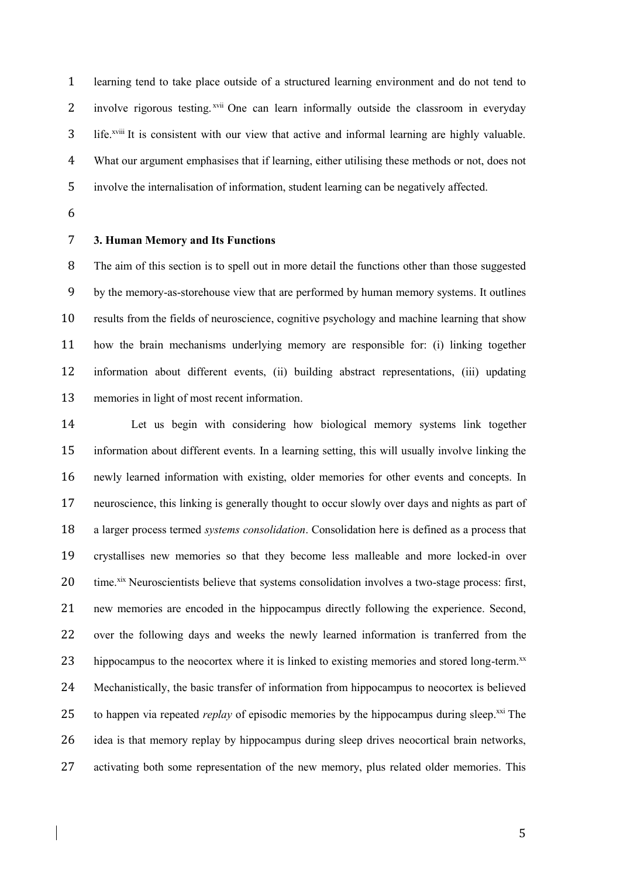learning tend to take place outside of a structured learning environment and do not tend to 2 involve rigorous testing.<sup>xvii</sup> One can learn informally outside the classroom in everyday 3 life.<sup>xviii</sup> It is consistent with our view that active and informal learning are highly valuable. What our argument emphasises that if learning, either utilising these methods or not, does not involve the internalisation of information, student learning can be negatively affected.

# **3. Human Memory and Its Functions**

 The aim of this section is to spell out in more detail the functions other than those suggested by the memory-as-storehouse view that are performed by human memory systems. It outlines results from the fields of neuroscience, cognitive psychology and machine learning that show how the brain mechanisms underlying memory are responsible for: (i) linking together information about different events, (ii) building abstract representations, (iii) updating memories in light of most recent information.

 Let us begin with considering how biological memory systems link together information about different events. In a learning setting, this will usually involve linking the newly learned information with existing, older memories for other events and concepts. In neuroscience, this linking is generally thought to occur slowly over days and nights as part of a larger process termed *systems consolidation*. Consolidation here is defined as a process that crystallises new memories so that they become less malleable and more locked-in over 20 time. <sup>xix</sup> Neuroscientists believe that systems consolidation involves a two-stage process: first, new memories are encoded in the hippocampus directly following the experience. Second, over the following days and weeks the newly learned information is tranferred from the 23 hippocampus to the neocortex where it is linked to existing memories and stored long-term. $^{xx}$  Mechanistically, the basic transfer of information from hippocampus to neocortex is believed 25 to happen via repeated *replay* of episodic memories by the hippocampus during sleep.<sup>xxi</sup> The idea is that memory replay by hippocampus during sleep drives neocortical brain networks, activating both some representation of the new memory, plus related older memories. This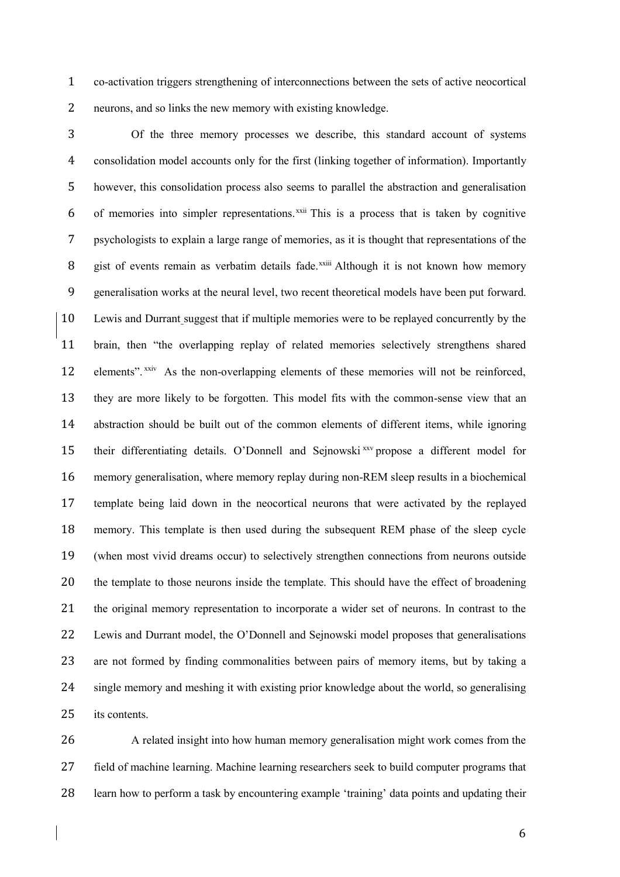co-activation triggers strengthening of interconnections between the sets of active neocortical neurons, and so links the new memory with existing knowledge.

 Of the three memory processes we describe, this standard account of systems consolidation model accounts only for the first (linking together of information). Importantly however, this consolidation process also seems to parallel the abstraction and generalisation 6 of memories into simpler representations. ${}^{xxii}$  This is a process that is taken by cognitive psychologists to explain a large range of memories, as it is thought that representations of the 8 gist of events remain as verbatim details fade.<sup>xxiii</sup> Although it is not known how memory generalisation works at the neural level, two recent theoretical models have been put forward. Lewis and Durrant suggest that if multiple memories were to be replayed concurrently by the brain, then "the overlapping replay of related memories selectively strengthens shared 12 elements". xxiv As the non-overlapping elements of these memories will not be reinforced, they are more likely to be forgotten. This model fits with the common-sense view that an abstraction should be built out of the common elements of different items, while ignoring 15 their differentiating details. O'Donnell and Sejnowski<sup>xxv</sup> propose a different model for memory generalisation, where memory replay during non-REM sleep results in a biochemical template being laid down in the neocortical neurons that were activated by the replayed memory. This template is then used during the subsequent REM phase of the sleep cycle (when most vivid dreams occur) to selectively strengthen connections from neurons outside the template to those neurons inside the template. This should have the effect of broadening the original memory representation to incorporate a wider set of neurons. In contrast to the Lewis and Durrant model, the O'Donnell and Sejnowski model proposes that generalisations are not formed by finding commonalities between pairs of memory items, but by taking a single memory and meshing it with existing prior knowledge about the world, so generalising 25 its contents.

 A related insight into how human memory generalisation might work comes from the field of machine learning. Machine learning researchers seek to build computer programs that learn how to perform a task by encountering example 'training' data points and updating their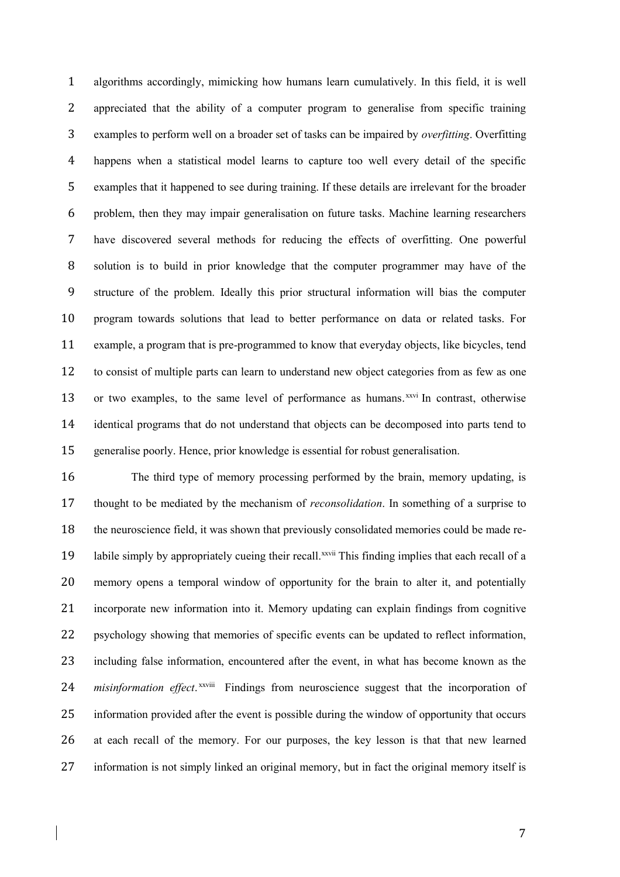algorithms accordingly, mimicking how humans learn cumulatively. In this field, it is well appreciated that the ability of a computer program to generalise from specific training examples to perform well on a broader set of tasks can be impaired by *overfitting*. Overfitting happens when a statistical model learns to capture too well every detail of the specific examples that it happened to see during training. If these details are irrelevant for the broader problem, then they may impair generalisation on future tasks. Machine learning researchers have discovered several methods for reducing the effects of overfitting. One powerful solution is to build in prior knowledge that the computer programmer may have of the structure of the problem. Ideally this prior structural information will bias the computer program towards solutions that lead to better performance on data or related tasks. For example, a program that is pre-programmed to know that everyday objects, like bicycles, tend to consist of multiple parts can learn to understand new object categories from as few as one 13 or two examples, to the same level of performance as humans.<sup>xxvi</sup> In contrast, otherwise identical programs that do not understand that objects can be decomposed into parts tend to generalise poorly. Hence, prior knowledge is essential for robust generalisation.

 The third type of memory processing performed by the brain, memory updating, is thought to be mediated by the mechanism of *reconsolidation*. In something of a surprise to the neuroscience field, it was shown that previously consolidated memories could be made re-19 labile simply by appropriately cueing their recall.<sup>xxvii</sup> This finding implies that each recall of a memory opens a temporal window of opportunity for the brain to alter it, and potentially incorporate new information into it. Memory updating can explain findings from cognitive psychology showing that memories of specific events can be updated to reflect information, including false information, encountered after the event, in what has become known as the 24 misinformation effect.<sup>xxviii</sup> Findings from neuroscience suggest that the incorporation of information provided after the event is possible during the window of opportunity that occurs at each recall of the memory. For our purposes, the key lesson is that that new learned information is not simply linked an original memory, but in fact the original memory itself is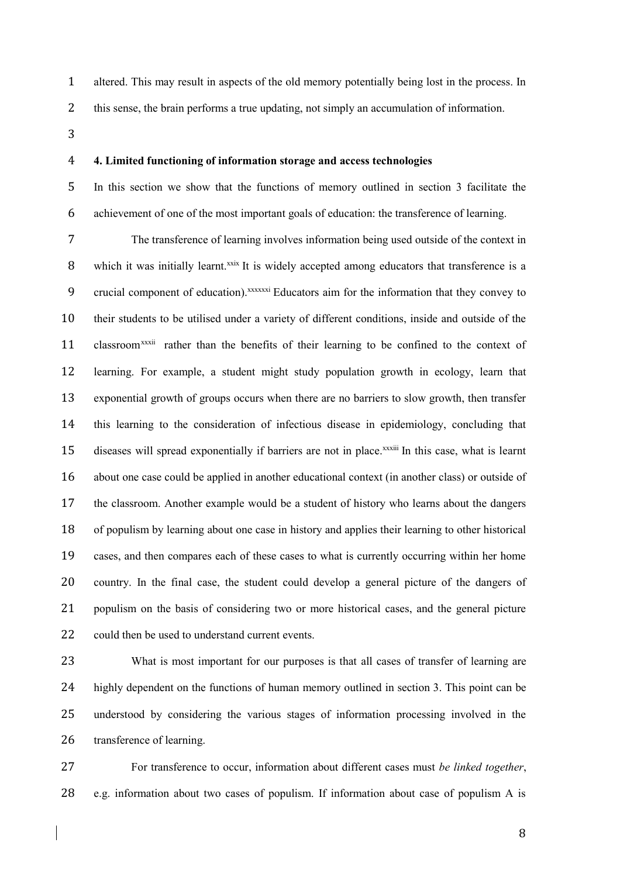altered. This may result in aspects of the old memory potentially being lost in the process. In

this sense, the brain performs a true updating, not simply an accumulation of information.

### **4. Limited functioning of information storage and access technologies**

 In this section we show that the functions of memory outlined in section 3 facilitate the achievement of one of the most important goals of education: the transference of learning.

 The transference of learning involves information being used outside of the context in 8 which it was initially learnt.<sup>xxix</sup> It is widely accepted among educators that transference is a 9 crucial component of education).<sup>xxxxxxi</sup> Educators aim for the information that they convey to their students to be utilised under a variety of different conditions, inside and outside of the 11 classroom<sup>xxxii</sup> rather than the benefits of their learning to be confined to the context of learning. For example, a student might study population growth in ecology, learn that exponential growth of groups occurs when there are no barriers to slow growth, then transfer this learning to the consideration of infectious disease in epidemiology, concluding that 15 diseases will spread exponentially if barriers are not in place.<sup>xxxiii</sup> In this case, what is learnt about one case could be applied in another educational context (in another class) or outside of the classroom. Another example would be a student of history who learns about the dangers of populism by learning about one case in history and applies their learning to other historical cases, and then compares each of these cases to what is currently occurring within her home country. In the final case, the student could develop a general picture of the dangers of populism on the basis of considering two or more historical cases, and the general picture 22 could then be used to understand current events.

23 What is most important for our purposes is that all cases of transfer of learning are highly dependent on the functions of human memory outlined in section 3. This point can be understood by considering the various stages of information processing involved in the transference of learning.

 For transference to occur, information about different cases must *be linked together*, e.g. information about two cases of populism. If information about case of populism A is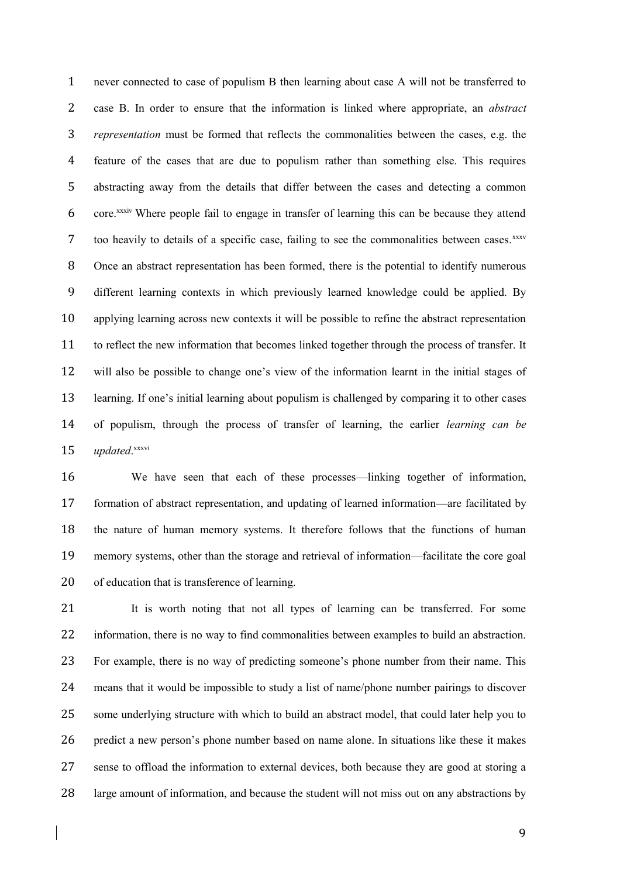never connected to case of populism B then learning about case A will not be transferred to case B. In order to ensure that the information is linked where appropriate, an *abstract representation* must be formed that reflects the commonalities between the cases, e.g. the feature of the cases that are due to populism rather than something else. This requires abstracting away from the details that differ between the cases and detecting a common 6 core.<sup>xxxiv</sup> Where people fail to engage in transfer of learning this can be because they attend 7 too heavily to details of a specific case, failing to see the commonalities between cases.<sup>xxxv</sup> Once an abstract representation has been formed, there is the potential to identify numerous different learning contexts in which previously learned knowledge could be applied. By applying learning across new contexts it will be possible to refine the abstract representation to reflect the new information that becomes linked together through the process of transfer. It will also be possible to change one's view of the information learnt in the initial stages of learning. If one's initial learning about populism is challenged by comparing it to other cases of populism, through the process of transfer of learning, the earlier *learning can be updated.*<sup>xxxvi</sup>

 We have seen that each of these processes—linking together of information, formation of abstract representation, and updating of learned information—are facilitated by the nature of human memory systems. It therefore follows that the functions of human memory systems, other than the storage and retrieval of information—facilitate the core goal of education that is transference of learning.

 It is worth noting that not all types of learning can be transferred. For some information, there is no way to find commonalities between examples to build an abstraction. For example, there is no way of predicting someone's phone number from their name. This means that it would be impossible to study a list of name/phone number pairings to discover some underlying structure with which to build an abstract model, that could later help you to predict a new person's phone number based on name alone. In situations like these it makes sense to offload the information to external devices, both because they are good at storing a large amount of information, and because the student will not miss out on any abstractions by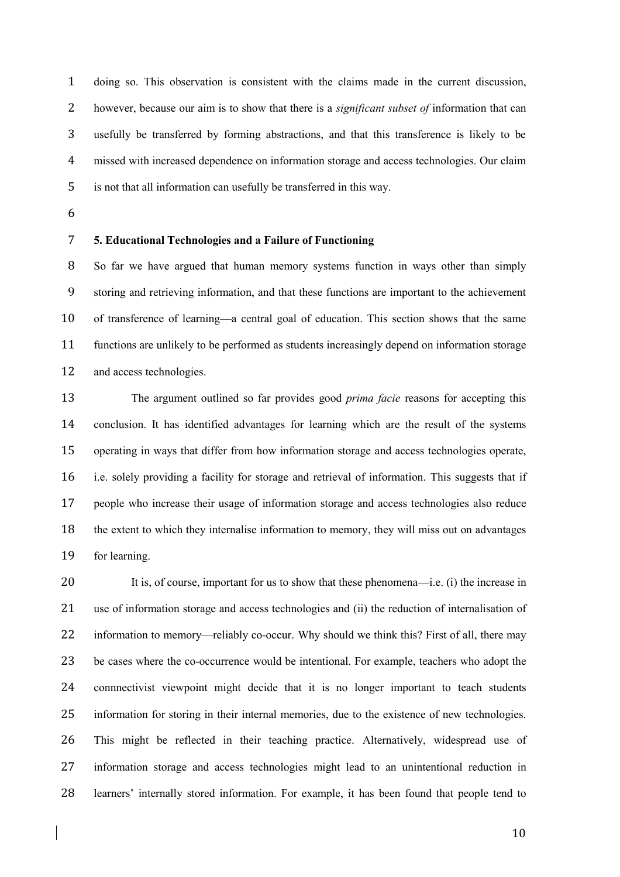doing so. This observation is consistent with the claims made in the current discussion, however, because our aim is to show that there is a *significant subset of* information that can usefully be transferred by forming abstractions, and that this transference is likely to be missed with increased dependence on information storage and access technologies. Our claim is not that all information can usefully be transferred in this way.

# **5. Educational Technologies and a Failure of Functioning**

 So far we have argued that human memory systems function in ways other than simply storing and retrieving information, and that these functions are important to the achievement of transference of learning—a central goal of education. This section shows that the same functions are unlikely to be performed as students increasingly depend on information storage and access technologies.

 The argument outlined so far provides good *prima facie* reasons for accepting this conclusion. It has identified advantages for learning which are the result of the systems operating in ways that differ from how information storage and access technologies operate, i.e. solely providing a facility for storage and retrieval of information. This suggests that if people who increase their usage of information storage and access technologies also reduce the extent to which they internalise information to memory, they will miss out on advantages for learning.

 It is, of course, important for us to show that these phenomena—i.e. (i) the increase in use of information storage and access technologies and (ii) the reduction of internalisation of 22 information to memory—reliably co-occur. Why should we think this? First of all, there may be cases where the co-occurrence would be intentional. For example, teachers who adopt the connnectivist viewpoint might decide that it is no longer important to teach students information for storing in their internal memories, due to the existence of new technologies. This might be reflected in their teaching practice. Alternatively, widespread use of information storage and access technologies might lead to an unintentional reduction in learners' internally stored information. For example, it has been found that people tend to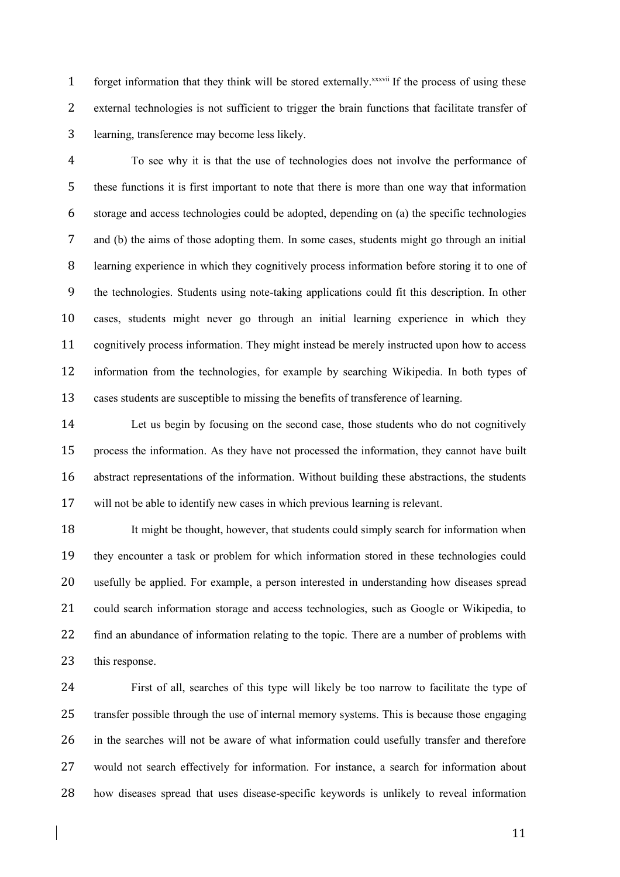1 forget information that they think will be stored externally.<sup>xxxvii</sup> If the process of using these external technologies is not sufficient to trigger the brain functions that facilitate transfer of learning, transference may become less likely.

 To see why it is that the use of technologies does not involve the performance of these functions it is first important to note that there is more than one way that information storage and access technologies could be adopted, depending on (a) the specific technologies and (b) the aims of those adopting them. In some cases, students might go through an initial learning experience in which they cognitively process information before storing it to one of the technologies. Students using note-taking applications could fit this description. In other cases, students might never go through an initial learning experience in which they cognitively process information. They might instead be merely instructed upon how to access information from the technologies, for example by searching Wikipedia. In both types of cases students are susceptible to missing the benefits of transference of learning.

 Let us begin by focusing on the second case, those students who do not cognitively process the information. As they have not processed the information, they cannot have built abstract representations of the information. Without building these abstractions, the students will not be able to identify new cases in which previous learning is relevant.

 It might be thought, however, that students could simply search for information when they encounter a task or problem for which information stored in these technologies could usefully be applied. For example, a person interested in understanding how diseases spread could search information storage and access technologies, such as Google or Wikipedia, to 22 find an abundance of information relating to the topic. There are a number of problems with 23 this response.

 First of all, searches of this type will likely be too narrow to facilitate the type of transfer possible through the use of internal memory systems. This is because those engaging in the searches will not be aware of what information could usefully transfer and therefore would not search effectively for information. For instance, a search for information about how diseases spread that uses disease-specific keywords is unlikely to reveal information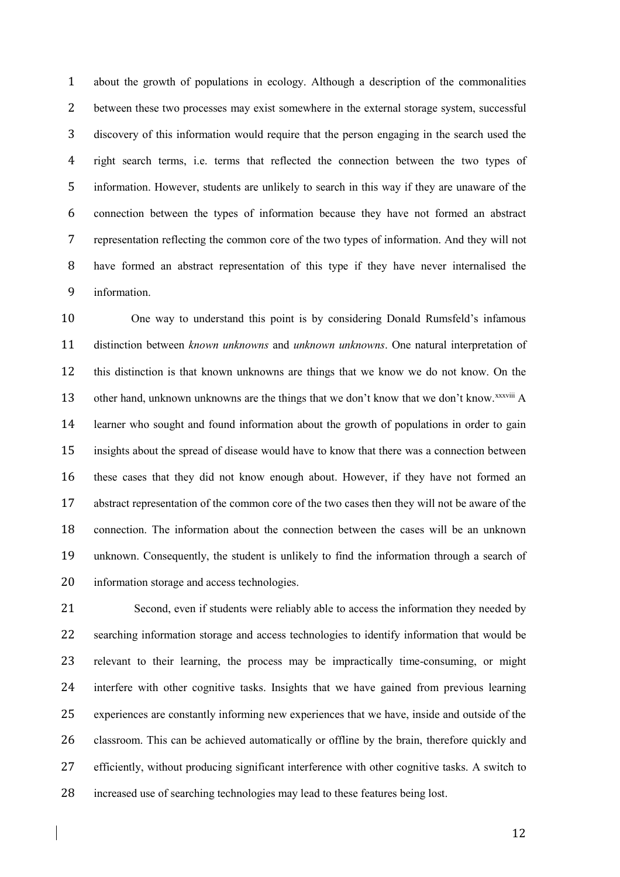about the growth of populations in ecology. Although a description of the commonalities between these two processes may exist somewhere in the external storage system, successful discovery of this information would require that the person engaging in the search used the right search terms, i.e. terms that reflected the connection between the two types of information. However, students are unlikely to search in this way if they are unaware of the connection between the types of information because they have not formed an abstract representation reflecting the common core of the two types of information. And they will not have formed an abstract representation of this type if they have never internalised the information.

 One way to understand this point is by considering Donald Rumsfeld's infamous distinction between *known unknowns* and *unknown unknowns*. One natural interpretation of this distinction is that known unknowns are things that we know we do not know. On the 13 other hand, unknown unknowns are the things that we don't know that we don't know.  $\frac{xxx}{i}$  A learner who sought and found information about the growth of populations in order to gain insights about the spread of disease would have to know that there was a connection between these cases that they did not know enough about. However, if they have not formed an abstract representation of the common core of the two cases then they will not be aware of the connection. The information about the connection between the cases will be an unknown unknown. Consequently, the student is unlikely to find the information through a search of information storage and access technologies.

 Second, even if students were reliably able to access the information they needed by searching information storage and access technologies to identify information that would be relevant to their learning, the process may be impractically time-consuming, or might interfere with other cognitive tasks. Insights that we have gained from previous learning experiences are constantly informing new experiences that we have, inside and outside of the classroom. This can be achieved automatically or offline by the brain, therefore quickly and efficiently, without producing significant interference with other cognitive tasks. A switch to increased use of searching technologies may lead to these features being lost.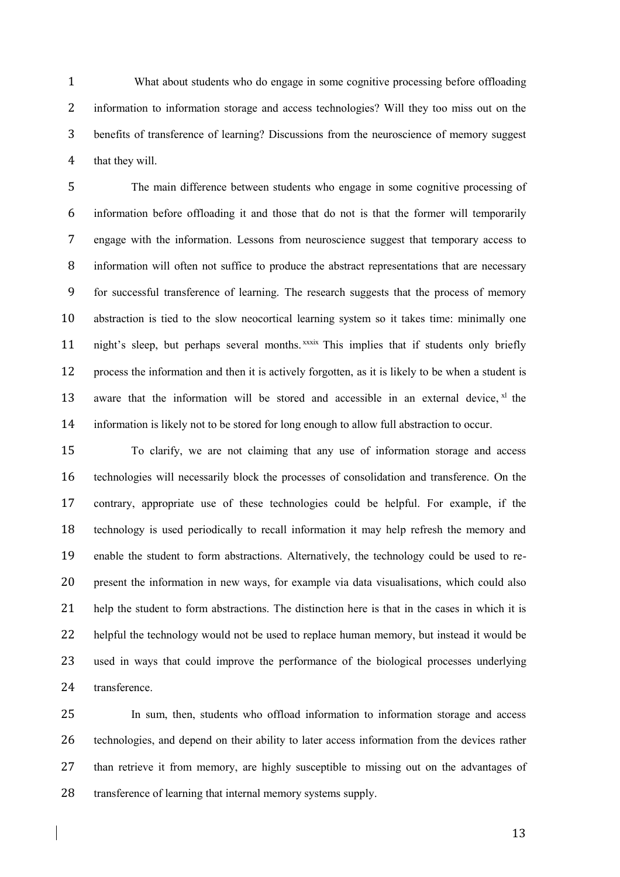What about students who do engage in some cognitive processing before offloading information to information storage and access technologies? Will they too miss out on the benefits of transference of learning? Discussions from the neuroscience of memory suggest that they will.

 The main difference between students who engage in some cognitive processing of information before offloading it and those that do not is that the former will temporarily engage with the information. Lessons from neuroscience suggest that temporary access to information will often not suffice to produce the abstract representations that are necessary for successful transference of learning. The research suggests that the process of memory abstraction is tied to the slow neocortical learning system so it takes time: minimally one 11 night's sleep, but perhaps several months. xxxix This implies that if students only briefly process the information and then it is actively forgotten, as it is likely to be when a student is 13 aware that the information will be stored and accessible in an external device,  $x<sup>1</sup>$  the information is likely not to be stored for long enough to allow full abstraction to occur.

 To clarify, we are not claiming that any use of information storage and access technologies will necessarily block the processes of consolidation and transference. On the contrary, appropriate use of these technologies could be helpful. For example, if the technology is used periodically to recall information it may help refresh the memory and enable the student to form abstractions. Alternatively, the technology could be used to re- present the information in new ways, for example via data visualisations, which could also help the student to form abstractions. The distinction here is that in the cases in which it is helpful the technology would not be used to replace human memory, but instead it would be used in ways that could improve the performance of the biological processes underlying transference.

 In sum, then, students who offload information to information storage and access technologies, and depend on their ability to later access information from the devices rather than retrieve it from memory, are highly susceptible to missing out on the advantages of transference of learning that internal memory systems supply.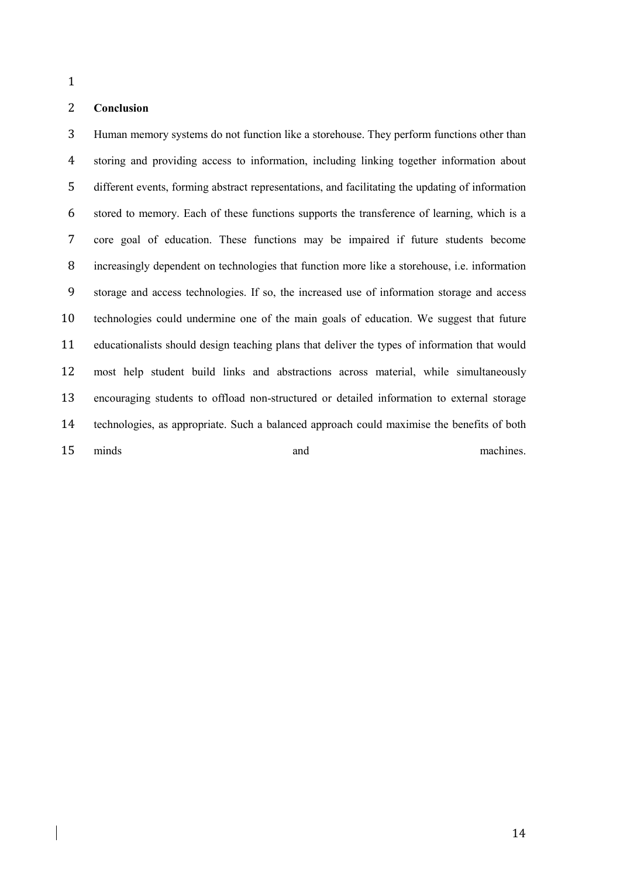### **Conclusion**

 Human memory systems do not function like a storehouse. They perform functions other than storing and providing access to information, including linking together information about different events, forming abstract representations, and facilitating the updating of information stored to memory. Each of these functions supports the transference of learning, which is a core goal of education. These functions may be impaired if future students become increasingly dependent on technologies that function more like a storehouse, i.e. information storage and access technologies. If so, the increased use of information storage and access technologies could undermine one of the main goals of education. We suggest that future educationalists should design teaching plans that deliver the types of information that would most help student build links and abstractions across material, while simultaneously encouraging students to offload non-structured or detailed information to external storage technologies, as appropriate. Such a balanced approach could maximise the benefits of both 15 minds and and machines.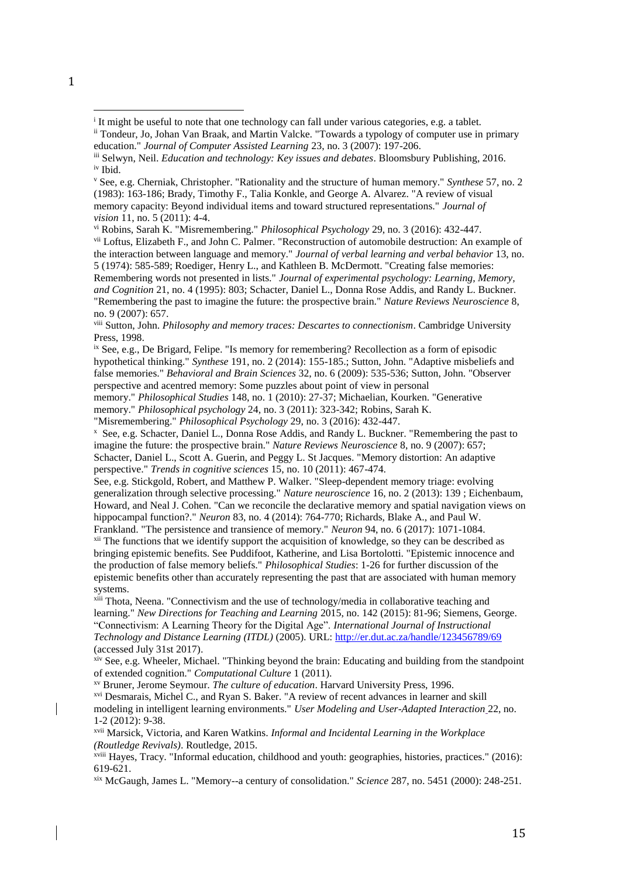vi Robins, Sarah K. "Misremembering." *Philosophical Psychology* 29, no. 3 (2016): 432-447.

vii Loftus, Elizabeth F., and John C. Palmer. "Reconstruction of automobile destruction: An example of the interaction between language and memory." *Journal of verbal learning and verbal behavior* 13, no. 5 (1974): 585-589; Roediger, Henry L., and Kathleen B. McDermott. "Creating false memories: Remembering words not presented in lists." *Journal of experimental psychology: Learning, Memory, and Cognition* 21, no. 4 (1995): 803; Schacter, Daniel L., Donna Rose Addis, and Randy L. Buckner. "Remembering the past to imagine the future: the prospective brain." *Nature Reviews Neuroscience* 8,

viii Sutton, John. *Philosophy and memory traces: Descartes to connectionism*. Cambridge University Press, 1998.

ix See, e.g., De Brigard, Felipe. "Is memory for remembering? Recollection as a form of episodic hypothetical thinking." *Synthese* 191, no. 2 (2014): 155-185.; Sutton, John. "Adaptive misbeliefs and false memories." *Behavioral and Brain Sciences* 32, no. 6 (2009): 535-536; Sutton, John. "Observer perspective and acentred memory: Some puzzles about point of view in personal

memory." *Philosophical Studies* 148, no. 1 (2010): 27-37; Michaelian, Kourken. "Generative memory." *Philosophical psychology* 24, no. 3 (2011): 323-342; Robins, Sarah K.

"Misremembering." *Philosophical Psychology* 29, no. 3 (2016): 432-447.

x See, e.g. Schacter, Daniel L., Donna Rose Addis, and Randy L. Buckner. "Remembering the past to imagine the future: the prospective brain." *Nature Reviews Neuroscience* 8, no. 9 (2007): 657; Schacter, Daniel L., Scott A. Guerin, and Peggy L. St Jacques. "Memory distortion: An adaptive perspective." *Trends in cognitive sciences* 15, no. 10 (2011): 467-474.

See, e.g. Stickgold, Robert, and Matthew P. Walker. "Sleep-dependent memory triage: evolving generalization through selective processing." *Nature neuroscience* 16, no. 2 (2013): 139 ; Eichenbaum, Howard, and Neal J. Cohen. "Can we reconcile the declarative memory and spatial navigation views on hippocampal function?." *Neuron* 83, no. 4 (2014): 764-770; Richards, Blake A., and Paul W. Frankland. "The persistence and transience of memory." *Neuron* 94, no. 6 (2017): 1071-1084.

<sup>xii</sup> The functions that we identify support the acquisition of knowledge, so they can be described as bringing epistemic benefits. See Puddifoot, Katherine, and Lisa Bortolotti. "Epistemic innocence and the production of false memory beliefs." *Philosophical Studies*: 1-26 for further discussion of the epistemic benefits other than accurately representing the past that are associated with human memory systems.

xiii Thota, Neena. "Connectivism and the use of technology/media in collaborative teaching and learning." *New Directions for Teaching and Learning* 2015, no. 142 (2015): 81-96; Siemens, George. "Connectivism: A Learning Theory for the Digital Age". *International Journal of Instructional Technology and Distance Learning (ITDL)* (2005). URL[: http://er.dut.ac.za/handle/123456789/69](http://er.dut.ac.za/handle/123456789/69) (accessed July 31st 2017).

xiv See, e.g. Wheeler, Michael. "Thinking beyond the brain: Educating and building from the standpoint of extended cognition." *Computational Culture* 1 (2011).

xv Bruner, Jerome Seymour. *The culture of education*. Harvard University Press, 1996. xvi Desmarais, Michel C., and Ryan S. Baker. "A review of recent advances in learner and skill modeling in intelligent learning environments." *User Modeling and User-Adapted Interaction* 22, no. 1-2 (2012): 9-38.

xvii Marsick, Victoria, and Karen Watkins. *Informal and Incidental Learning in the Workplace (Routledge Revivals)*. Routledge, 2015.

xviii Hayes, Tracy. "Informal education, childhood and youth: geographies, histories, practices." (2016): 619-621.

xix McGaugh, James L. "Memory--a century of consolidation." *Science* 287, no. 5451 (2000): 248-251.

 $\overline{a}$ 

<sup>&</sup>lt;sup>i</sup> It might be useful to note that one technology can fall under various categories, e.g. a tablet.

ii Tondeur, Jo, Johan Van Braak, and Martin Valcke. "Towards a typology of computer use in primary education." *Journal of Computer Assisted Learning* 23, no. 3 (2007): 197-206.

iii Selwyn, Neil. *Education and technology: Key issues and debates*. Bloomsbury Publishing, 2016. iv Ibid.

<sup>v</sup> See, e.g. Cherniak, Christopher. "Rationality and the structure of human memory." *Synthese* 57, no. 2 (1983): 163-186; Brady, Timothy F., Talia Konkle, and George A. Alvarez. "A review of visual memory capacity: Beyond individual items and toward structured representations." *Journal of vision* 11, no. 5 (2011): 4-4.

no. 9 (2007): 657.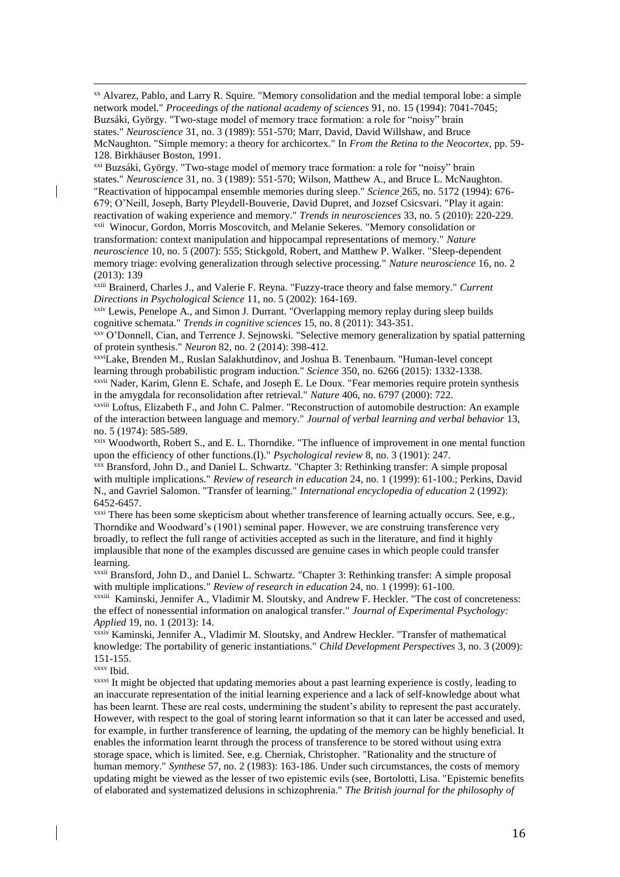xx Alvarez, Pablo, and Larry R. Squire. "Memory consolidation and the medial temporal lobe: a simple network model." *Proceedings of the national academy of sciences* 91, no. 15 (1994): 7041-7045; Buzsáki, György. "Two-stage model of memory trace formation: a role for "noisy" brain states." *Neuroscience* 31, no. 3 (1989): 551-570; Marr, David, David Willshaw, and Bruce McNaughton. "Simple memory: a theory for archicortex." In *From the Retina to the Neocortex*, pp. 59- 128. Birkhäuser Boston, 1991.

xxi Buzsáki, György. "Two-stage model of memory trace formation: a role for "noisy" brain states." *Neuroscience* 31, no. 3 (1989): 551-570; Wilson, Matthew A., and Bruce L. McNaughton. "Reactivation of hippocampal ensemble memories during sleep." *Science* 265, no. 5172 (1994): 676- 679; O'Neill, Joseph, Barty Pleydell-Bouverie, David Dupret, and Jozsef Csicsvari. "Play it again: reactivation of waking experience and memory." *Trends in neurosciences* 33, no. 5 (2010): 220-229. xxii Winocur, Gordon, Morris Moscovitch, and Melanie Sekeres. "Memory consolidation or transformation: context manipulation and hippocampal representations of memory." *Nature neuroscience* 10, no. 5 (2007): 555; Stickgold, Robert, and Matthew P. Walker. "Sleep-dependent memory triage: evolving generalization through selective processing." *Nature neuroscience* 16, no. 2 (2013): 139

xxiii Brainerd, Charles J., and Valerie F. Reyna. "Fuzzy-trace theory and false memory." *Current Directions in Psychological Science* 11, no. 5 (2002): 164-169.

xxiv Lewis, Penelope A., and Simon J. Durrant. "Overlapping memory replay during sleep builds cognitive schemata." *Trends in cognitive sciences* 15, no. 8 (2011): 343-351.

xxv O'Donnell, Cian, and Terrence J. Sejnowski. "Selective memory generalization by spatial patterning of protein synthesis." *Neuron* 82, no. 2 (2014): 398-412.

xxviLake, Brenden M., Ruslan Salakhutdinov, and Joshua B. Tenenbaum. "Human-level concept learning through probabilistic program induction." *Science* 350, no. 6266 (2015): 1332-1338.

xxvii Nader, Karim, Glenn E. Schafe, and Joseph E. Le Doux. "Fear memories require protein synthesis in the amygdala for reconsolidation after retrieval." *Nature* 406, no. 6797 (2000): 722.

xxviii Loftus, Elizabeth F., and John C. Palmer. "Reconstruction of automobile destruction: An example of the interaction between language and memory." *Journal of verbal learning and verbal behavior* 13, no. 5 (1974): 585-589.

xxix Woodworth, Robert S., and E. L. Thorndike. "The influence of improvement in one mental function upon the efficiency of other functions.(I)." *Psychological review* 8, no. 3 (1901): 247.

xxx Bransford, John D., and Daniel L. Schwartz. "Chapter 3: Rethinking transfer: A simple proposal with multiple implications." *Review of research in education* 24, no. 1 (1999): 61-100.; Perkins, David N., and Gavriel Salomon. "Transfer of learning." *International encyclopedia of education* 2 (1992): 6452-6457.

xxxi There has been some skepticism about whether transference of learning actually occurs. See, e.g., Thorndike and Woodward's (1901) seminal paper. However, we are construing transference very broadly, to reflect the full range of activities accepted as such in the literature, and find it highly implausible that none of the examples discussed are genuine cases in which people could transfer learning.

xxxii Bransford, John D., and Daniel L. Schwartz. "Chapter 3: Rethinking transfer: A simple proposal with multiple implications." *Review of research in education* 24, no. 1 (1999): 61-100.

xxxiii Kaminski, Jennifer A., Vladimir M. Sloutsky, and Andrew F. Heckler. "The cost of concreteness: the effect of nonessential information on analogical transfer." *Journal of Experimental Psychology: Applied* 19, no. 1 (2013): 14.

xxxiv Kaminski, Jennifer A., Vladimir M. Sloutsky, and Andrew Heckler. "Transfer of mathematical knowledge: The portability of generic instantiations." *Child Development Perspectives* 3, no. 3 (2009): 151-155.

xxxv Ibid.

 $\overline{a}$ 

xxxvi It might be objected that updating memories about a past learning experience is costly, leading to an inaccurate representation of the initial learning experience and a lack of self-knowledge about what has been learnt. These are real costs, undermining the student's ability to represent the past accurately. However, with respect to the goal of storing learnt information so that it can later be accessed and used, for example, in further transference of learning, the updating of the memory can be highly beneficial. It enables the information learnt through the process of transference to be stored without using extra storage space, which is limited. See, e.g. Cherniak, Christopher. "Rationality and the structure of human memory." *Synthese* 57, no. 2 (1983): 163-186. Under such circumstances, the costs of memory updating might be viewed as the lesser of two epistemic evils (see, Bortolotti, Lisa. "Epistemic benefits of elaborated and systematized delusions in schizophrenia." *The British journal for the philosophy of*